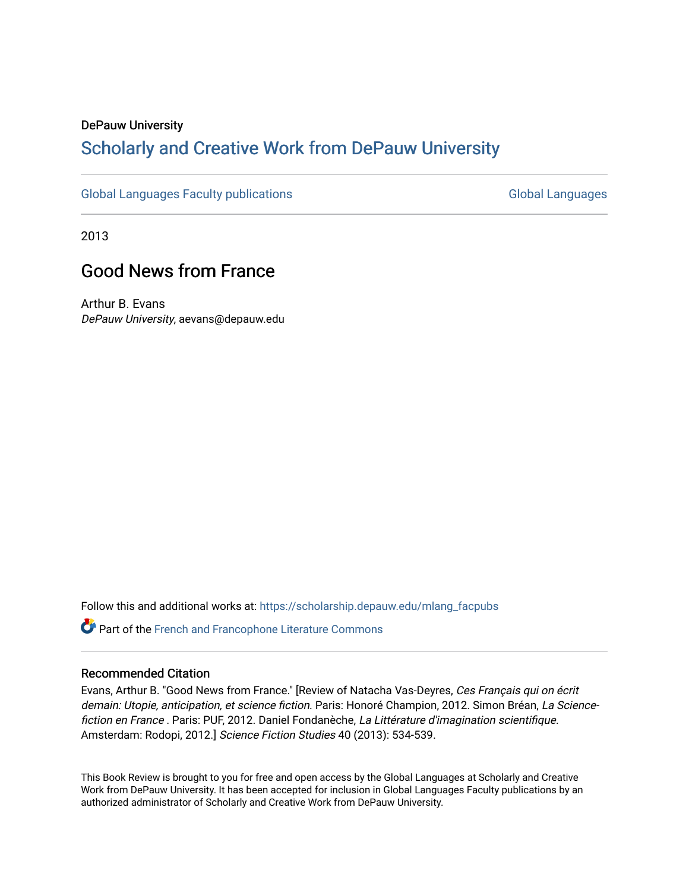## DePauw University Scholarly and [Creative Work from DePauw Univ](https://scholarship.depauw.edu/)ersity

[Global Languages Faculty publications](https://scholarship.depauw.edu/mlang_facpubs) [Global Languages](https://scholarship.depauw.edu/modernlanguages) Global Languages

2013

# Good News from France

Arthur B. Evans DePauw University, aevans@depauw.edu

Follow this and additional works at: [https://scholarship.depauw.edu/mlang\\_facpubs](https://scholarship.depauw.edu/mlang_facpubs?utm_source=scholarship.depauw.edu%2Fmlang_facpubs%2F63&utm_medium=PDF&utm_campaign=PDFCoverPages)

Part of the [French and Francophone Literature Commons](https://network.bepress.com/hgg/discipline/465?utm_source=scholarship.depauw.edu%2Fmlang_facpubs%2F63&utm_medium=PDF&utm_campaign=PDFCoverPages) 

## Recommended Citation

Evans, Arthur B. "Good News from France." [Review of Natacha Vas-Deyres, Ces Français qui on écrit demain: Utopie, anticipation, et science fiction. Paris: Honoré Champion, 2012. Simon Bréan, La Sciencefiction en France . Paris: PUF, 2012. Daniel Fondanèche, La Littérature d'imagination scientifique. Amsterdam: Rodopi, 2012.] Science Fiction Studies 40 (2013): 534-539.

This Book Review is brought to you for free and open access by the Global Languages at Scholarly and Creative Work from DePauw University. It has been accepted for inclusion in Global Languages Faculty publications by an authorized administrator of Scholarly and Creative Work from DePauw University.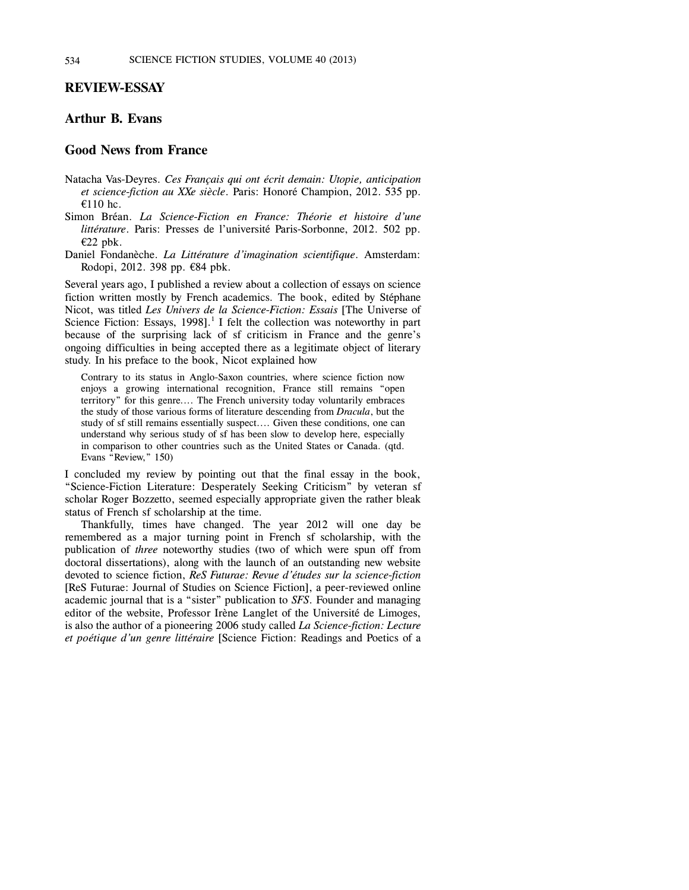#### **REVIEW-ESSAY**

## **Arthur B. Evans**

#### **Good News from France**

- Natacha Vas-Deyres. *Ces Français qui ont écrit demain: Utopie, anticipation et science-fiction au XXe siècle*. Paris: Honoré Champion, 2012. 535 pp. €110 hc.
- Simon Bréan. *La Science-Fiction en France: Théorie et histoire d'une littérature*. Paris: Presses de l'université Paris-Sorbonne, 2012. 502 pp.  $€22$  pbk.
- Daniel Fondanèche. *La Littérature d'imagination scientifique*. Amsterdam: Rodopi, 2012. 398 pp. €84 pbk.

Several years ago, I published a review about a collection of essays on science fiction written mostly by French academics. The book, edited by Stéphane Nicot, was titled *Les Univers de la Science-Fiction: Essais* [The Universe of Science Fiction: Essays, 1998].<sup>1</sup> I felt the collection was noteworthy in part because of the surprising lack of sf criticism in France and the genre's ongoing difficulties in being accepted there as a legitimate object of literary study. In his preface to the book, Nicot explained how

Contrary to its status in Anglo-Saxon countries, where science fiction now enjoys a growing international recognition, France still remains "open territory" for this genre.... The French university today voluntarily embraces the study of those various forms of literature descending from *Dracula*, but the study of sf still remains essentially suspect.... Given these conditions, one can understand why serious study of sf has been slow to develop here, especially in comparison to other countries such as the United States or Canada. (qtd. Evans "Review," 150)

I concluded my review by pointing out that the final essay in the book, "Science-Fiction Literature: Desperately Seeking Criticism" by veteran sf scholar Roger Bozzetto, seemed especially appropriate given the rather bleak status of French sf scholarship at the time.

Thankfully, times have changed. The year 2012 will one day be remembered as a major turning point in French sf scholarship, with the publication of *three* noteworthy studies (two of which were spun off from doctoral dissertations), along with the launch of an outstanding new website devoted to science fiction, *ReS Futurae: Revue d'études sur la science-fiction* [ReS Futurae: Journal of Studies on Science Fiction], a peer-reviewed online academic journal that is a "sister" publication to *SFS*. Founder and managing editor of the website, Professor Irène Langlet of the Université de Limoges, is also the author of a pioneering 2006 study called *La Science-fiction: Lecture et poétique d'un genre littéraire* [Science Fiction: Readings and Poetics of a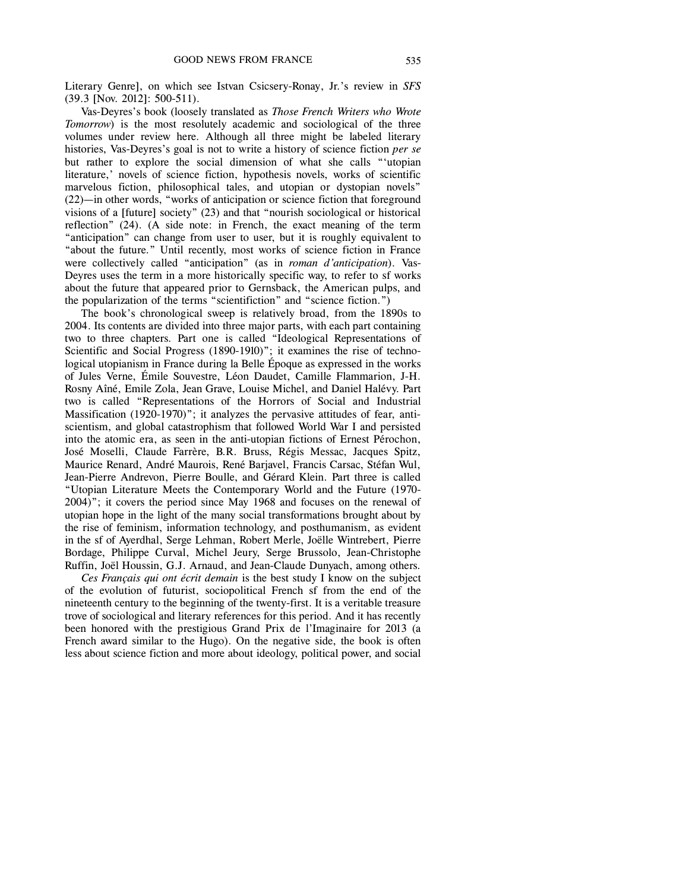Literary Genre], on which see Istvan Csicsery-Ronay, Jr.'s review in *SFS* (39.3 [Nov. 2012]: 500-511).

Vas-Deyres's book (loosely translated as *Those French Writers who Wrote Tomorrow*) is the most resolutely academic and sociological of the three volumes under review here. Although all three might be labeled literary histories, Vas-Deyres's goal is not to write a history of science fiction *per se* but rather to explore the social dimension of what she calls "'utopian literature,' novels of science fiction, hypothesis novels, works of scientific marvelous fiction, philosophical tales, and utopian or dystopian novels" (22)—in other words, "works of anticipation or science fiction that foreground visions of a [future] society" (23) and that "nourish sociological or historical reflection" (24). (A side note: in French, the exact meaning of the term "anticipation" can change from user to user, but it is roughly equivalent to "about the future." Until recently, most works of science fiction in France were collectively called "anticipation" (as in *roman d'anticipation*). Vas-Deyres uses the term in a more historically specific way, to refer to sf works about the future that appeared prior to Gernsback, the American pulps, and the popularization of the terms "scientifiction" and "science fiction.")

The book's chronological sweep is relatively broad, from the 1890s to 2004. Its contents are divided into three major parts, with each part containing two to three chapters. Part one is called "Ideological Representations of Scientific and Social Progress (1890-1910)"; it examines the rise of technological utopianism in France during la Belle Époque as expressed in the works of Jules Verne, Émile Souvestre, Léon Daudet, Camille Flammarion, J-H. Rosny Aîné, Emile Zola, Jean Grave, Louise Michel, and Daniel Halévy. Part two is called "Representations of the Horrors of Social and Industrial Massification (1920-1970)"; it analyzes the pervasive attitudes of fear, antiscientism, and global catastrophism that followed World War I and persisted into the atomic era, as seen in the anti-utopian fictions of Ernest Pérochon, José Moselli, Claude Farrère, B.R. Bruss, Régis Messac, Jacques Spitz, Maurice Renard, André Maurois, René Barjavel, Francis Carsac, Stéfan Wul, Jean-Pierre Andrevon, Pierre Boulle, and Gérard Klein. Part three is called "Utopian Literature Meets the Contemporary World and the Future (1970- 2004)"; it covers the period since May 1968 and focuses on the renewal of utopian hope in the light of the many social transformations brought about by the rise of feminism, information technology, and posthumanism, as evident in the sf of Ayerdhal, Serge Lehman, Robert Merle, Joëlle Wintrebert, Pierre Bordage, Philippe Curval, Michel Jeury, Serge Brussolo, Jean-Christophe Ruffin, Joël Houssin, G.J. Arnaud, and Jean-Claude Dunyach, among others.

*Ces Français qui ont écrit demain* is the best study I know on the subject of the evolution of futurist, sociopolitical French sf from the end of the nineteenth century to the beginning of the twenty-first. It is a veritable treasure trove of sociological and literary references for this period. And it has recently been honored with the prestigious Grand Prix de l'Imaginaire for 2013 (a French award similar to the Hugo). On the negative side, the book is often less about science fiction and more about ideology, political power, and social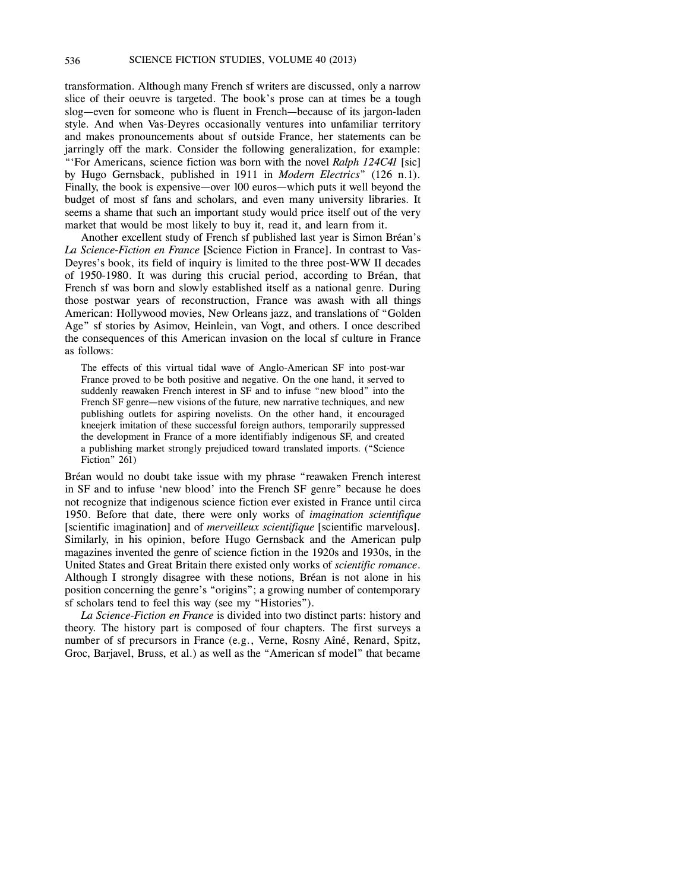transformation. Although many French sf writers are discussed, only a narrow slice of their oeuvre is targeted. The book's prose can at times be a tough slog—even for someone who is fluent in French—because of its jargon-laden style. And when Vas-Deyres occasionally ventures into unfamiliar territory and makes pronouncements about sf outside France, her statements can be jarringly off the mark. Consider the following generalization, for example: "'For Americans, science fiction was born with the novel *Ralph 124C41* [sic] by Hugo Gernsback, published in 1911 in *Modern Electrics*" (126 n.1). Finally, the book is expensive—over 100 euros—which puts it well beyond the budget of most sf fans and scholars, and even many university libraries. It seems a shame that such an important study would price itself out of the very market that would be most likely to buy it, read it, and learn from it.

Another excellent study of French sf published last year is Simon Bréan's *La Science-Fiction en France* [Science Fiction in France]. In contrast to Vas-Deyres's book, its field of inquiry is limited to the three post-WW II decades of 1950-1980. It was during this crucial period, according to Bréan, that French sf was born and slowly established itself as a national genre. During those postwar years of reconstruction, France was awash with all things American: Hollywood movies, New Orleans jazz, and translations of "Golden Age" sf stories by Asimov, Heinlein, van Vogt, and others. I once described the consequences of this American invasion on the local sf culture in France as follows:

The effects of this virtual tidal wave of Anglo-American SF into post-war France proved to be both positive and negative. On the one hand, it served to suddenly reawaken French interest in SF and to infuse "new blood" into the French SF genre—new visions of the future, new narrative techniques, and new publishing outlets for aspiring novelists. On the other hand, it encouraged kneejerk imitation of these successful foreign authors, temporarily suppressed the development in France of a more identifiably indigenous SF, and created a publishing market strongly prejudiced toward translated imports. ("Science Fiction" 261)

Bréan would no doubt take issue with my phrase "reawaken French interest in SF and to infuse 'new blood' into the French SF genre" because he does not recognize that indigenous science fiction ever existed in France until circa 1950. Before that date, there were only works of *imagination scientifique* [scientific imagination] and of *merveilleux scientifique* [scientific marvelous]. Similarly, in his opinion, before Hugo Gernsback and the American pulp magazines invented the genre of science fiction in the 1920s and 1930s, in the United States and Great Britain there existed only works of *scientific romance*. Although I strongly disagree with these notions, Bréan is not alone in his position concerning the genre's "origins"; a growing number of contemporary sf scholars tend to feel this way (see my "Histories").

*La Science-Fiction en France* is divided into two distinct parts: history and theory. The history part is composed of four chapters. The first surveys a number of sf precursors in France (e.g., Verne, Rosny Aîné, Renard, Spitz, Groc, Barjavel, Bruss, et al.) as well as the "American sf model" that became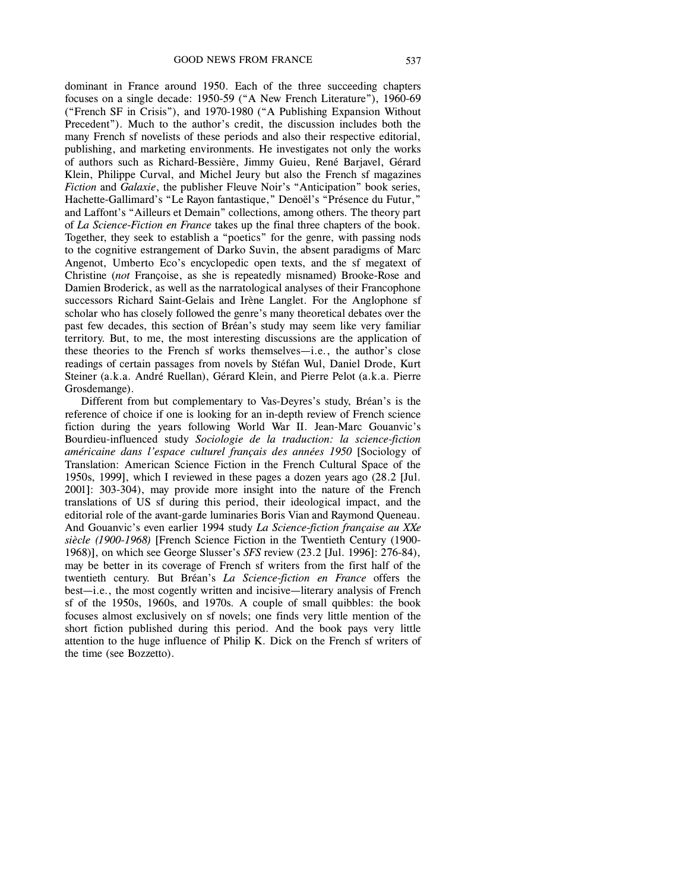dominant in France around 1950. Each of the three succeeding chapters focuses on a single decade: 1950-59 ("A New French Literature"), 1960-69 ("French SF in Crisis"), and 1970-1980 ("A Publishing Expansion Without Precedent"). Much to the author's credit, the discussion includes both the many French sf novelists of these periods and also their respective editorial, publishing, and marketing environments. He investigates not only the works of authors such as Richard-Bessière, Jimmy Guieu, René Barjavel, Gérard Klein, Philippe Curval, and Michel Jeury but also the French sf magazines *Fiction* and *Galaxie*, the publisher Fleuve Noir's "Anticipation" book series, Hachette-Gallimard's "Le Rayon fantastique," Denoël's "Présence du Futur," and Laffont's "Ailleurs et Demain" collections, among others. The theory part of *La Science-Fiction en France* takes up the final three chapters of the book. Together, they seek to establish a "poetics" for the genre, with passing nods to the cognitive estrangement of Darko Suvin, the absent paradigms of Marc Angenot, Umberto Eco's encyclopedic open texts, and the sf megatext of Christine (*not* Françoise, as she is repeatedly misnamed) Brooke-Rose and Damien Broderick, as well as the narratological analyses of their Francophone successors Richard Saint-Gelais and Irène Langlet. For the Anglophone sf scholar who has closely followed the genre's many theoretical debates over the past few decades, this section of Bréan's study may seem like very familiar territory. But, to me, the most interesting discussions are the application of these theories to the French sf works themselves—i.e., the author's close readings of certain passages from novels by Stéfan Wul, Daniel Drode, Kurt Steiner (a.k.a. André Ruellan), Gérard Klein, and Pierre Pelot (a.k.a. Pierre Grosdemange).

Different from but complementary to Vas-Deyres's study, Bréan's is the reference of choice if one is looking for an in-depth review of French science fiction during the years following World War II. Jean-Marc Gouanvic's Bourdieu-influenced study *Sociologie de la traduction: la science-fiction américaine dans l'espace culturel français des années 1950* [Sociology of Translation: American Science Fiction in the French Cultural Space of the 1950s, 1999], which I reviewed in these pages a dozen years ago (28.2 [Jul. 2001]: 303-304), may provide more insight into the nature of the French translations of US sf during this period, their ideological impact, and the editorial role of the avant-garde luminaries Boris Vian and Raymond Queneau. And Gouanvic's even earlier 1994 study *La Science-fiction française au XXe siècle (1900-1968)* [French Science Fiction in the Twentieth Century (1900- 1968)], on which see George Slusser's *SFS* review (23.2 [Jul. 1996]: 276-84), may be better in its coverage of French sf writers from the first half of the twentieth century. But Bréan's *La Science-fiction en France* offers the best—i.e., the most cogently written and incisive—literary analysis of French sf of the 1950s, 1960s, and 1970s. A couple of small quibbles: the book focuses almost exclusively on sf novels; one finds very little mention of the short fiction published during this period. And the book pays very little attention to the huge influence of Philip K. Dick on the French sf writers of the time (see Bozzetto).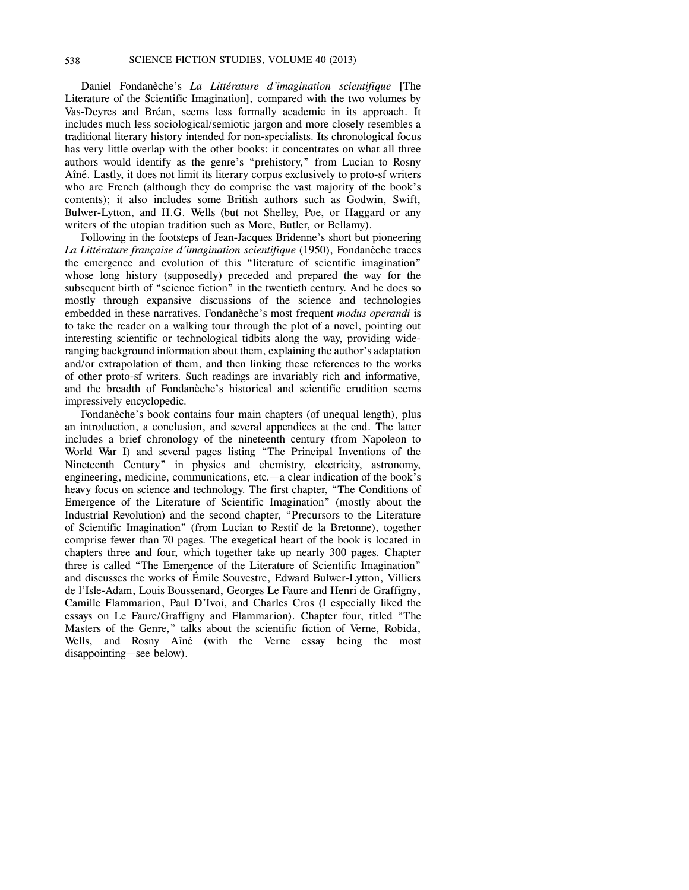Daniel Fondanèche's *La Littérature d'imagination scientifique* [The Literature of the Scientific Imagination], compared with the two volumes by Vas-Deyres and Bréan, seems less formally academic in its approach. It includes much less sociological/semiotic jargon and more closely resembles a traditional literary history intended for non-specialists. Its chronological focus has very little overlap with the other books: it concentrates on what all three authors would identify as the genre's "prehistory," from Lucian to Rosny Aîné. Lastly, it does not limit its literary corpus exclusively to proto-sf writers who are French (although they do comprise the vast majority of the book's contents); it also includes some British authors such as Godwin, Swift, Bulwer-Lytton, and H.G. Wells (but not Shelley, Poe, or Haggard or any writers of the utopian tradition such as More, Butler, or Bellamy).

Following in the footsteps of Jean-Jacques Bridenne's short but pioneering *La Littérature française d'imagination scientifique* (1950), Fondanèche traces the emergence and evolution of this "literature of scientific imagination" whose long history (supposedly) preceded and prepared the way for the subsequent birth of "science fiction" in the twentieth century. And he does so mostly through expansive discussions of the science and technologies embedded in these narratives. Fondanèche's most frequent *modus operandi* is to take the reader on a walking tour through the plot of a novel, pointing out interesting scientific or technological tidbits along the way, providing wideranging background information about them, explaining the author's adaptation and/or extrapolation of them, and then linking these references to the works of other proto-sf writers. Such readings are invariably rich and informative, and the breadth of Fondanèche's historical and scientific erudition seems impressively encyclopedic.

Fondanèche's book contains four main chapters (of unequal length), plus an introduction, a conclusion, and several appendices at the end. The latter includes a brief chronology of the nineteenth century (from Napoleon to World War I) and several pages listing "The Principal Inventions of the Nineteenth Century" in physics and chemistry, electricity, astronomy, engineering, medicine, communications, etc.—a clear indication of the book's heavy focus on science and technology. The first chapter, "The Conditions of Emergence of the Literature of Scientific Imagination" (mostly about the Industrial Revolution) and the second chapter, "Precursors to the Literature of Scientific Imagination" (from Lucian to Restif de la Bretonne), together comprise fewer than 70 pages. The exegetical heart of the book is located in chapters three and four, which together take up nearly 300 pages. Chapter three is called "The Emergence of the Literature of Scientific Imagination" and discusses the works of Émile Souvestre, Edward Bulwer-Lytton, Villiers de l'Isle-Adam, Louis Boussenard, Georges Le Faure and Henri de Graffigny, Camille Flammarion, Paul D'Ivoi, and Charles Cros (I especially liked the essays on Le Faure/Graffigny and Flammarion). Chapter four, titled "The Masters of the Genre," talks about the scientific fiction of Verne, Robida, Wells, and Rosny Aîné (with the Verne essay being the most disappointing—see below).